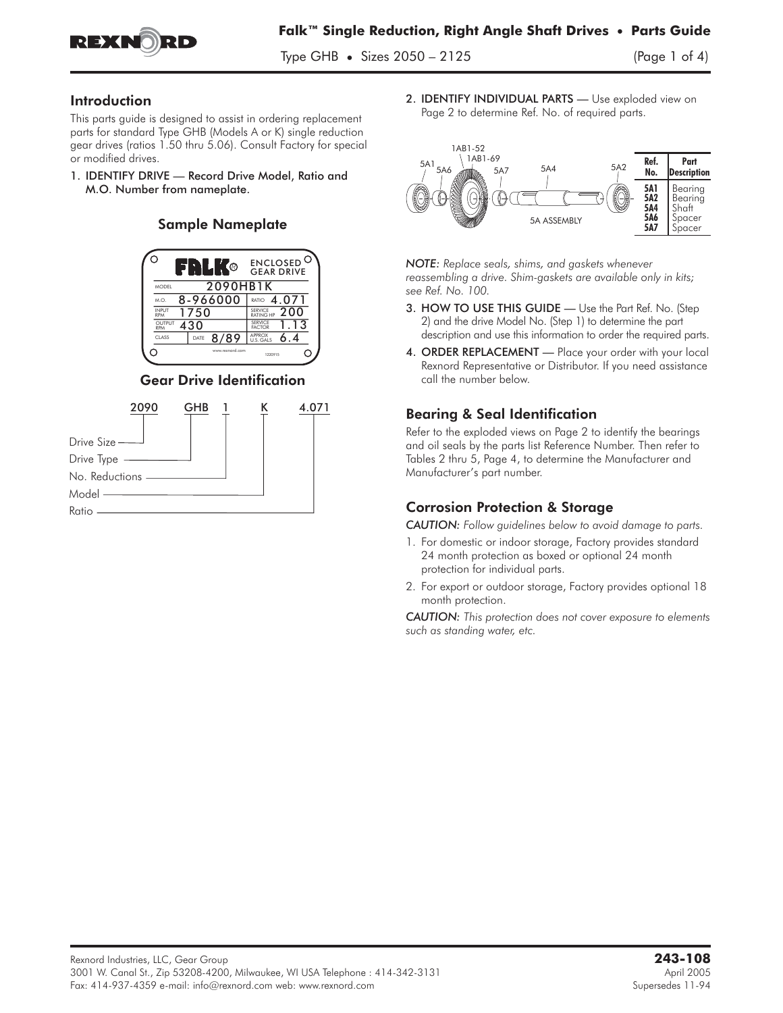

Type GHB **•** Sizes 2050 – 2125 (Page 1 of 4)

### Introduction

This parts guide is designed to assist in ordering replacement parts for standard Type GHB (Models A or K) single reduction gear drives (ratios 1.50 thru 5.06). Consult Factory for special or modified drives.

1. IDENTIFY DRIVE — Record Drive Model, Ratio and M.O. Number from nameplate.

### Sample Nameplate



### Gear Drive Identification



2. **IDENTIFY INDIVIDUAL PARTS** - Use exploded view on Page 2 to determine Ref. No. of required parts.



*NOTE: Replace seals, shims, and gaskets whenever reassembling a drive. Shim-gaskets are available only in kits; see Ref. No. 100.*

- 3. HOW TO USE THIS GUIDE Use the Part Ref. No. (Step 2) and the drive Model No. (Step 1) to determine the part description and use this information to order the required parts.
- 4. ORDER REPLACEMENT Place your order with your local Rexnord Representative or Distributor. If you need assistance call the number below.

### Bearing & Seal Identification

Refer to the exploded views on Page 2 to identify the bearings and oil seals by the parts list Reference Number. Then refer to Tables 2 thru 5, Page 4, to determine the Manufacturer and Manufacturer's part number.

### Corrosion Protection & Storage

*CAUTION: Follow guidelines below to avoid damage to parts.*

- 1. For domestic or indoor storage, Factory provides standard 24 month protection as boxed or optional 24 month protection for individual parts.
- 2. For export or outdoor storage, Factory provides optional 18 month protection.

*CAUTION: This protection does not cover exposure to elements such as standing water, etc.*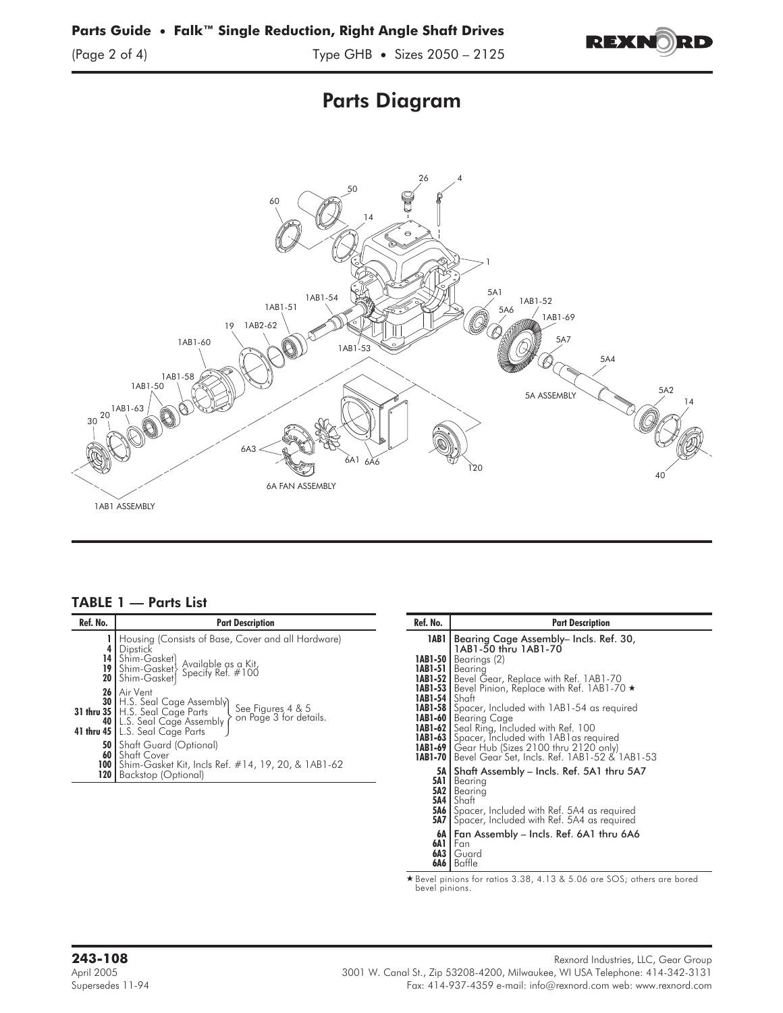

# Parts Diagram



### TABLE 1 — Parts List

| Ref. No. | <b>Part Description</b>                                                                                                                                                                                                                                                                                                                                                                                                                                                                                                                           | Ref. No.                        | <b>Part Description</b>                                                                                                                                                                                                                                                                                                                                                                                                                                                                                                                                                                                                                                                      |
|----------|---------------------------------------------------------------------------------------------------------------------------------------------------------------------------------------------------------------------------------------------------------------------------------------------------------------------------------------------------------------------------------------------------------------------------------------------------------------------------------------------------------------------------------------------------|---------------------------------|------------------------------------------------------------------------------------------------------------------------------------------------------------------------------------------------------------------------------------------------------------------------------------------------------------------------------------------------------------------------------------------------------------------------------------------------------------------------------------------------------------------------------------------------------------------------------------------------------------------------------------------------------------------------------|
|          | Housing (Consists of Base, Cover and all Hardware)<br>4   Dipstick<br>14 Shim-Gasket) Available as a Kit,<br>19 Shim-Gasket Specify Ref. #100<br>20 Shim-Gasket Specify Ref. #100<br>26   Air Vent<br><b>30</b>   H.S. Seal Cage Assembly<br>See Figures 4 & 5<br>on Page 3 for details.<br>31 thru 35   H.S. Seal Cage Parts<br>40   L.S. Seal Cage Assembly<br>41 thru 45   L.S. Seal Cage Parts<br><b>50</b> Shaft Guard (Optional)<br>60 Shaft Cover<br>100   Shim-Gasket Kit, Incls Ref. #14, 19, 20, & 1AB1-62<br>120   Backstop (Optional) | 1AB 1<br><b>1AB1-54   Shaft</b> | Bearing Cage Assembly– Incls. Ref. 30,<br>1AB1-50 thru 1AB1-70<br><b>IABI-50</b>   Bearings $(2)$<br><b>IABI-51</b> Bearing<br><b>IABI-52</b>   Bevel Gear, Replace with Ref. 1AB1-70<br>1AB1-53   Bevel Pinion, Replace with Ref. 1AB1-70 *<br><b>IABI-58</b> Spacer, Included with 1AB1-54 as required<br><b>1AB1-60</b>   Bearing Cage<br><b>1AB1-62</b> Seal Ring, Included with Ref. 100<br><b>IAB1-63</b> Spacer, Included with 1AB1 as required<br><b>IABI-69</b>   Gear Hub (Sizes 2100 thru 2120 only)<br><b>1AB1-70</b>   Bevel Gear Set, Incls. Ref. 1AB1-52 & 1AB1-53<br>5A   Shaft Assembly - Incls. Ref. 5A1 thru 5A7<br><b>5A1</b>   Bearing<br>5A2   Bearing |
|          |                                                                                                                                                                                                                                                                                                                                                                                                                                                                                                                                                   |                                 | SMA L                                                                                                                                                                                                                                                                                                                                                                                                                                                                                                                                                                                                                                                                        |

| Ref. No.                          | <b>Part Description</b>                                                                                                                                                                                                                                                                                                                                                                                                                                                                                   |  |  |  |
|-----------------------------------|-----------------------------------------------------------------------------------------------------------------------------------------------------------------------------------------------------------------------------------------------------------------------------------------------------------------------------------------------------------------------------------------------------------------------------------------------------------------------------------------------------------|--|--|--|
| 1AB1                              | Bearing Cage Assembly- Incls. Ref. 30,<br>1AB1-50 thru 1AB1-70                                                                                                                                                                                                                                                                                                                                                                                                                                            |  |  |  |
| <b>1AB1-54  </b> Shaft<br>1AB1-58 | <b>IAB1-50</b>   Bearings $(2)$<br><b>IAB1-51   Bearing</b><br><b>IABI-52</b>   Bevel Gear, Replace with Ref. 1AB1-70<br><b>1AB1-53  </b> Bevel Pinion, Replace with Ref. 1AB1-70 ★<br>Spacer, Included with 1AB1-54 as required<br><b>IABI-60</b>   Bearing Cage<br><b>IABI-62</b> Seal Ring, Included with Ref. 100<br><b>IABI-63</b> Spacer, Included with 1AB1 as required<br><b>IABI-69  </b> Gear Hub (Sizes 2100 thru 2120 only)<br><b>1AB1-70  </b> Bevel Gear Set, Incls. Ref. 1AB1-52 & 1AB1-53 |  |  |  |
| 5A6 I<br>5A7 I<br>6A              | 5A   Shaft Assembly – Incls. Ref. 5A1 thru 5A7<br><b>5A1</b>   Bearing<br><b>5A2</b>   Bearing<br><b>5A4  </b> Shaft<br>Spacer, Included with Ref. 5A4 as required<br>Spacer, Included with Ref. 5A4 as required<br>Fan Assembly - Incls. Ref. 6A1 thru 6A6                                                                                                                                                                                                                                               |  |  |  |
| 6A 1<br>6A3<br>6A6                | Fan<br>Guard<br>Baffle                                                                                                                                                                                                                                                                                                                                                                                                                                                                                    |  |  |  |

- Bevel pinions for ratios 3.38, 4.13 & 5.06 are SOS; others are bored bevel pinions.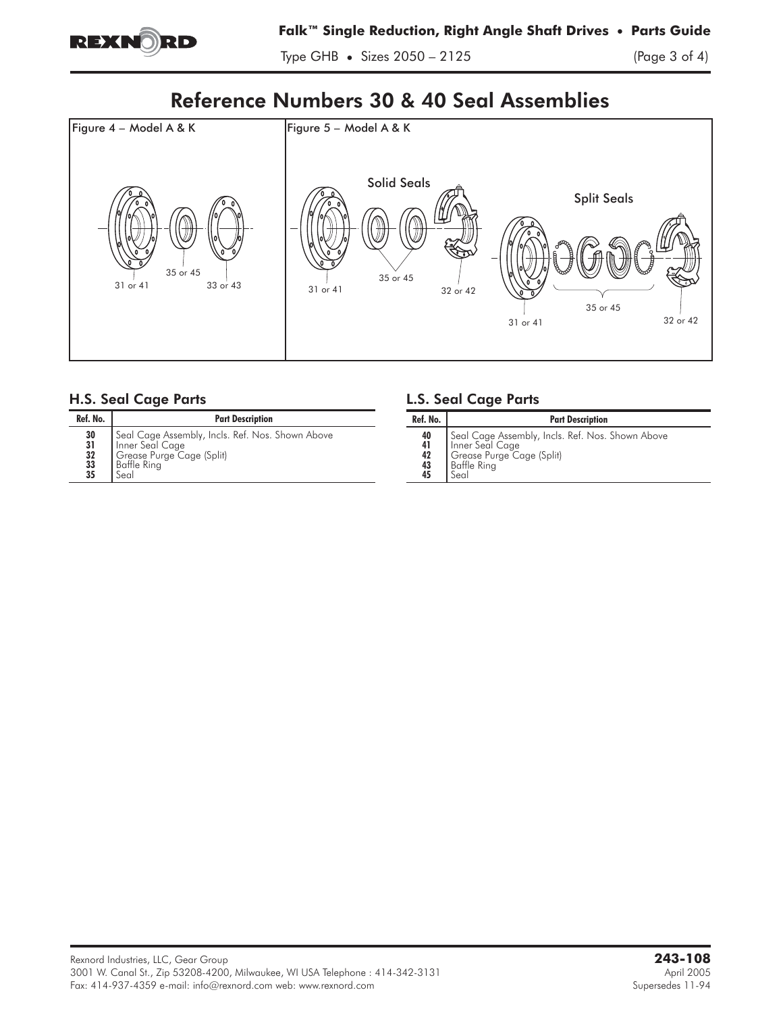

Type GHB **•** Sizes 2050 – 2125 (Page 3 of 4)

## Reference Numbers 30 & 40 Seal Assemblies



### H.S. Seal Cage Parts

| Ref. No.                                 | <b>Part Description</b>                                                                                                 |  |  |  |
|------------------------------------------|-------------------------------------------------------------------------------------------------------------------------|--|--|--|
| 30<br>$\frac{31}{32}$<br>$\frac{33}{35}$ | Seal Cage Assembly, Incls. Ref. Nos. Shown Above<br>Inner Seal Cage<br>Grease Purge Cage (Split)<br>Baffle Ring<br>Seal |  |  |  |

### L.S. Seal Cage Parts

| Ref. No.                   | <b>Part Description</b>                                                                                                 |  |  |
|----------------------------|-------------------------------------------------------------------------------------------------------------------------|--|--|
| 40<br>41<br>42<br>43<br>45 | Seal Cage Assembly, Incls. Ref. Nos. Shown Above<br>Inner Seal Cage<br>Grease Purge Cage (Split)<br>Baffle Ring<br>Seal |  |  |